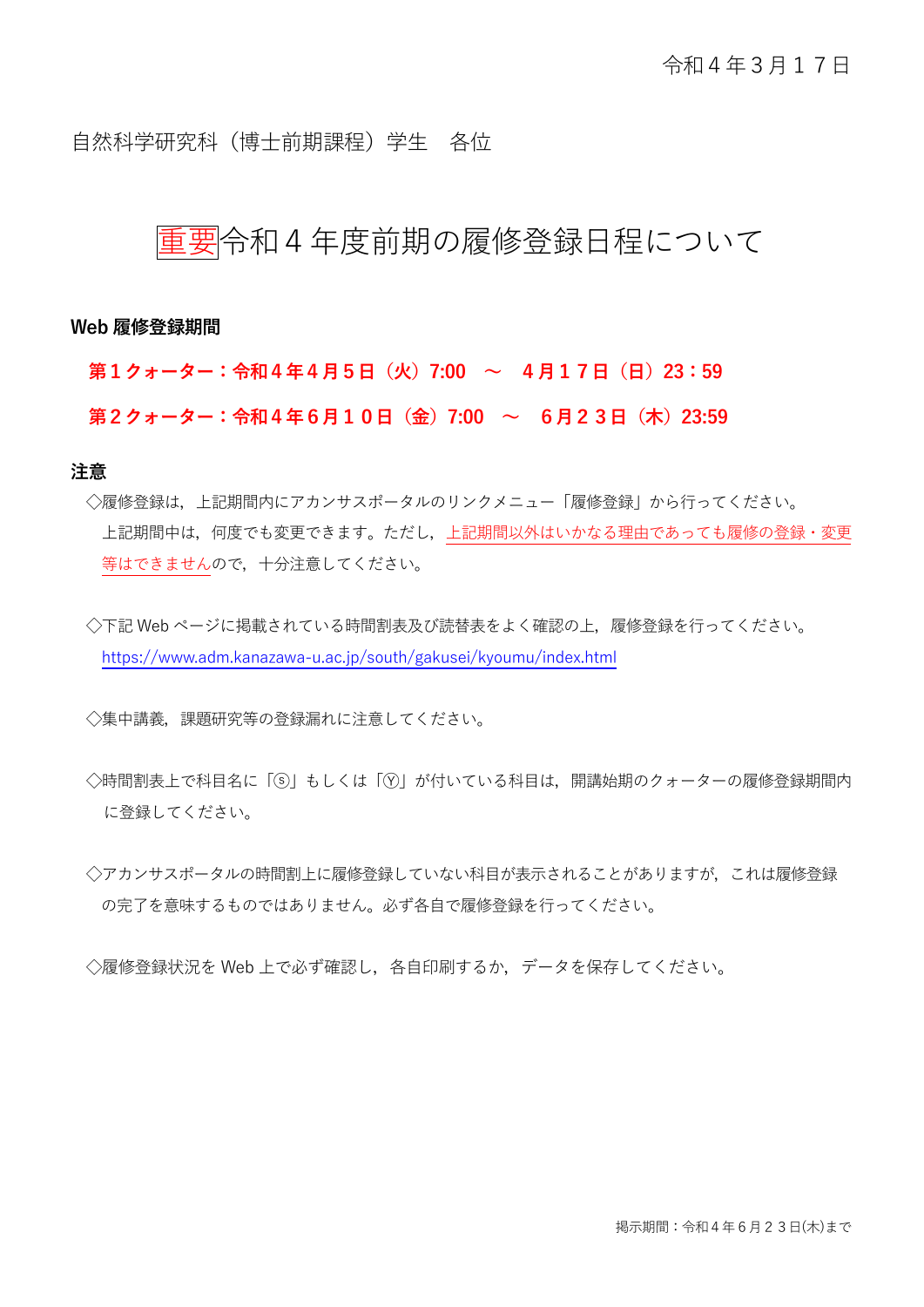自然科学研究科 (博十前期課程) 学生 各位

## 重要令和4年度前期の履修登録日程について

**Web 履修登録期間**

**第1クォーター:令和4年4月5日(火)7:00 ~ 4月17日(日)23:59**

**第2クォーター:令和4年6月10日(金)7:00 ~ 6月23日(木)23:59**

### **注意**

◇履修登録は、上記期間内にアカンサスポータルのリンクメニュー「履修登録」から行ってください。 上記期間中は,何度でも変更できます。ただし,上記期間以外はいかなる理由であっても履修の登録・変更 等はできませんので,十分注意してください。

◇下記 Web ページに掲載されている時間割表及び読替表をよく確認の上、履修登録を行ってください。 <https://www.adm.kanazawa-u.ac.jp/south/gakusei/kyoumu/index.html>

◇集中講義,課題研究等の登録漏れに注意してください。

- ◇時間割表上で科目名に「⑤」もしくは「⑦」が付いている科目は、開講始期のクォーターの履修登録期間内 に登録してください。
- ◇アカンサスポータルの時間割上に履修登録していない科目が表示されることがありますが,これは履修登録 の完了を意味するものではありません。必ず各自で履修登録を行ってください。

◇履修登録状況を Web 上で必ず確認し、各自印刷するか、データを保存してください。